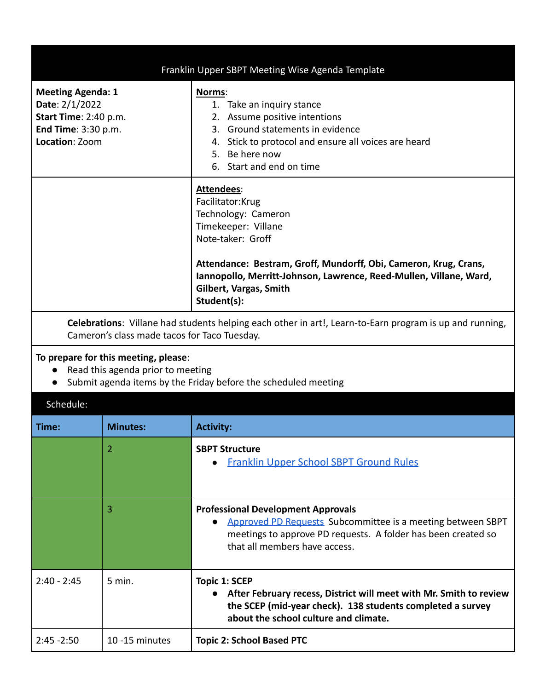| Franklin Upper SBPT Meeting Wise Agenda Template                                                                                                        |                                                                                                                                                                                                                                                                                       |  |
|---------------------------------------------------------------------------------------------------------------------------------------------------------|---------------------------------------------------------------------------------------------------------------------------------------------------------------------------------------------------------------------------------------------------------------------------------------|--|
| <b>Meeting Agenda: 1</b><br>Date: 2/1/2022<br>Start Time: 2:40 p.m.<br>End Time: 3:30 p.m.<br>Location: Zoom                                            | Norms:<br>1. Take an inquiry stance<br>2. Assume positive intentions<br>3. Ground statements in evidence<br>Stick to protocol and ensure all voices are heard<br>4.<br>Be here now<br>5.<br>6. Start and end on time                                                                  |  |
|                                                                                                                                                         | Attendees:<br>Facilitator: Krug<br>Technology: Cameron<br>Timekeeper: Villane<br>Note-taker: Groff<br>Attendance: Bestram, Groff, Mundorff, Obi, Cameron, Krug, Crans,<br>Iannopollo, Merritt-Johnson, Lawrence, Reed-Mullen, Villane, Ward,<br>Gilbert, Vargas, Smith<br>Student(s): |  |
| Celebrations: Villane had students helping each other in art!, Learn-to-Earn program is up and running,<br>Cameron's class made tacos for Taco Tuesday. |                                                                                                                                                                                                                                                                                       |  |

## **To prepare for this meeting, please**:

- Read this agenda prior to meeting
- Submit agenda items by the Friday before the scheduled meeting

| Schedule:     |                 |                                                                                                                                                                                                            |
|---------------|-----------------|------------------------------------------------------------------------------------------------------------------------------------------------------------------------------------------------------------|
| Time:         | <b>Minutes:</b> | <b>Activity:</b>                                                                                                                                                                                           |
|               | 2               | <b>SBPT Structure</b><br><b>Franklin Upper School SBPT Ground Rules</b>                                                                                                                                    |
|               | 3               | <b>Professional Development Approvals</b><br>Approved PD Requests Subcommittee is a meeting between SBPT<br>meetings to approve PD requests. A folder has been created so<br>that all members have access. |
| $2:40 - 2:45$ | 5 min.          | Topic 1: SCEP<br>After February recess, District will meet with Mr. Smith to review<br>$\bullet$<br>the SCEP (mid-year check). 138 students completed a survey<br>about the school culture and climate.    |
| $2:45 - 2:50$ | 10 -15 minutes  | <b>Topic 2: School Based PTC</b>                                                                                                                                                                           |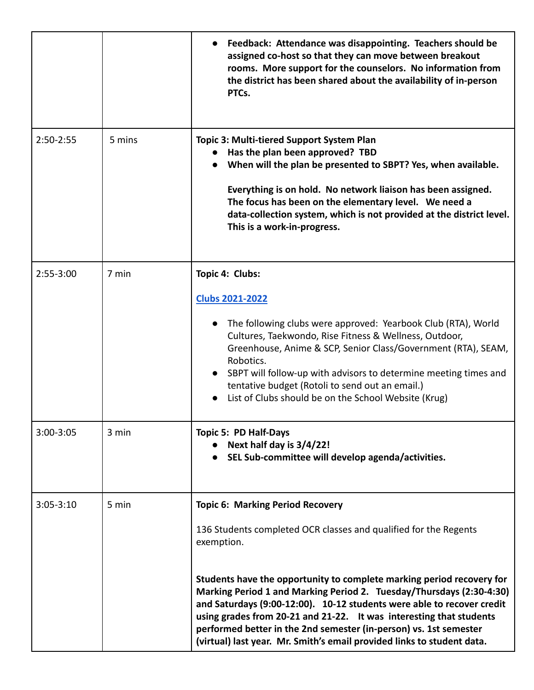|               |        | Feedback: Attendance was disappointing. Teachers should be<br>assigned co-host so that they can move between breakout<br>rooms. More support for the counselors. No information from<br>the district has been shared about the availability of in-person<br>PTCs.                                                                                                                                                                                                                                                                                                          |
|---------------|--------|----------------------------------------------------------------------------------------------------------------------------------------------------------------------------------------------------------------------------------------------------------------------------------------------------------------------------------------------------------------------------------------------------------------------------------------------------------------------------------------------------------------------------------------------------------------------------|
| $2:50-2:55$   | 5 mins | Topic 3: Multi-tiered Support System Plan<br>Has the plan been approved? TBD<br>When will the plan be presented to SBPT? Yes, when available.<br>Everything is on hold. No network liaison has been assigned.<br>The focus has been on the elementary level. We need a<br>data-collection system, which is not provided at the district level.<br>This is a work-in-progress.                                                                                                                                                                                              |
| $2:55-3:00$   | 7 min  | Topic 4: Clubs:<br><b>Clubs 2021-2022</b><br>The following clubs were approved: Yearbook Club (RTA), World<br>Cultures, Taekwondo, Rise Fitness & Wellness, Outdoor,<br>Greenhouse, Anime & SCP, Senior Class/Government (RTA), SEAM,<br>Robotics.<br>SBPT will follow-up with advisors to determine meeting times and<br>tentative budget (Rotoli to send out an email.)<br>List of Clubs should be on the School Website (Krug)                                                                                                                                          |
| 3:00-3:05     | 3 min  | Topic 5: PD Half-Days<br>Next half day is 3/4/22!<br>SEL Sub-committee will develop agenda/activities.                                                                                                                                                                                                                                                                                                                                                                                                                                                                     |
| $3:05 - 3:10$ | 5 min  | <b>Topic 6: Marking Period Recovery</b><br>136 Students completed OCR classes and qualified for the Regents<br>exemption.<br>Students have the opportunity to complete marking period recovery for<br>Marking Period 1 and Marking Period 2. Tuesday/Thursdays (2:30-4:30)<br>and Saturdays (9:00-12:00). 10-12 students were able to recover credit<br>using grades from 20-21 and 21-22. It was interesting that students<br>performed better in the 2nd semester (in-person) vs. 1st semester<br>(virtual) last year. Mr. Smith's email provided links to student data. |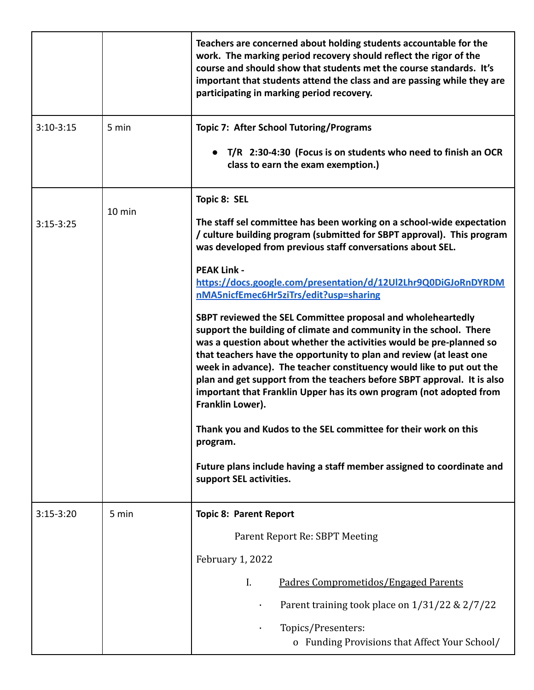|               |        | Teachers are concerned about holding students accountable for the<br>work. The marking period recovery should reflect the rigor of the<br>course and should show that students met the course standards. It's<br>important that students attend the class and are passing while they are<br>participating in marking period recovery.                                                                                                                                                                                         |
|---------------|--------|-------------------------------------------------------------------------------------------------------------------------------------------------------------------------------------------------------------------------------------------------------------------------------------------------------------------------------------------------------------------------------------------------------------------------------------------------------------------------------------------------------------------------------|
| $3:10-3:15$   | 5 min  | <b>Topic 7: After School Tutoring/Programs</b>                                                                                                                                                                                                                                                                                                                                                                                                                                                                                |
|               |        | T/R 2:30-4:30 (Focus is on students who need to finish an OCR<br>class to earn the exam exemption.)                                                                                                                                                                                                                                                                                                                                                                                                                           |
|               | 10 min | Topic 8: SEL                                                                                                                                                                                                                                                                                                                                                                                                                                                                                                                  |
| $3:15 - 3:25$ |        | The staff sel committee has been working on a school-wide expectation<br>/ culture building program (submitted for SBPT approval). This program<br>was developed from previous staff conversations about SEL.                                                                                                                                                                                                                                                                                                                 |
|               |        | <b>PEAK Link -</b><br>https://docs.google.com/presentation/d/12Ul2Lhr9Q0DiGJoRnDYRDM<br>nMA5nicfEmec6Hr5ziTrs/edit?usp=sharing                                                                                                                                                                                                                                                                                                                                                                                                |
|               |        | SBPT reviewed the SEL Committee proposal and wholeheartedly<br>support the building of climate and community in the school. There<br>was a question about whether the activities would be pre-planned so<br>that teachers have the opportunity to plan and review (at least one<br>week in advance). The teacher constituency would like to put out the<br>plan and get support from the teachers before SBPT approval. It is also<br>important that Franklin Upper has its own program (not adopted from<br>Franklin Lower). |
|               |        | Thank you and Kudos to the SEL committee for their work on this<br>program.                                                                                                                                                                                                                                                                                                                                                                                                                                                   |
|               |        | Future plans include having a staff member assigned to coordinate and<br>support SEL activities.                                                                                                                                                                                                                                                                                                                                                                                                                              |
| $3:15-3:20$   | 5 min  | <b>Topic 8: Parent Report</b>                                                                                                                                                                                                                                                                                                                                                                                                                                                                                                 |
|               |        | Parent Report Re: SBPT Meeting                                                                                                                                                                                                                                                                                                                                                                                                                                                                                                |
|               |        | February 1, 2022                                                                                                                                                                                                                                                                                                                                                                                                                                                                                                              |
|               |        | I.<br>Padres Comprometidos/Engaged Parents                                                                                                                                                                                                                                                                                                                                                                                                                                                                                    |
|               |        | Parent training took place on 1/31/22 & 2/7/22                                                                                                                                                                                                                                                                                                                                                                                                                                                                                |
|               |        | Topics/Presenters:<br>o Funding Provisions that Affect Your School/                                                                                                                                                                                                                                                                                                                                                                                                                                                           |